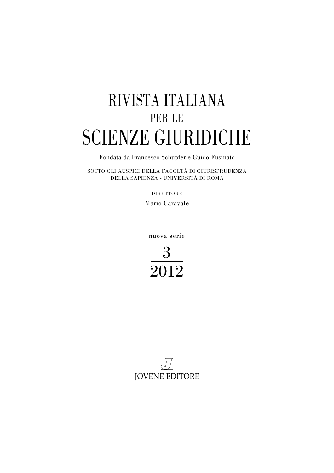## RIVISTA ITALIANA PER LE SCIENZE GIURIDICHE

Fondata da Francesco Schupfer e Guido Fusinato

SOTTO GLI AUSPICI DELLA FACOLTÀ DI GIURISPRUDENZA DELLA SAPIENZA - UNIVERSITÀ DI ROMA

DIRETTORE

Mario Caravale

nuova serie



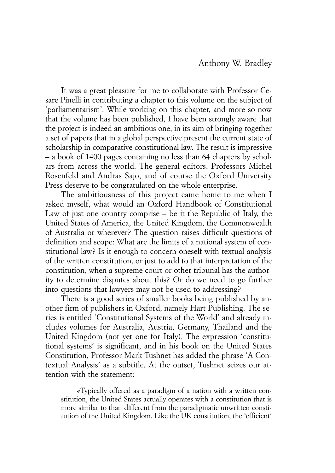It was a great pleasure for me to collaborate with Professor Cesare Pinelli in contributing a chapter to this volume on the subject of 'parliamentarism'. While working on this chapter, and more so now that the volume has been published, I have been strongly aware that the project is indeed an ambitious one, in its aim of bringing together a set of papers that in a global perspective present the current state of scholarship in comparative constitutional law. The result is impressive – a book of 1400 pages containing no less than 64 chapters by scholars from across the world. The general editors, Professors Michel Rosenfeld and Andras Sajo, and of course the Oxford University Press deserve to be congratulated on the whole enterprise.

The ambitiousness of this project came home to me when I asked myself, what would an Oxford Handbook of Constitutional Law of just one country comprise – be it the Republic of Italy, the United States of America, the United Kingdom, the Commonwealth of Australia or wherever? The question raises difficult questions of definition and scope: What are the limits of a national system of constitutional law? Is it enough to concern oneself with textual analysis of the written constitution, or just to add to that interpretation of the constitution, when a supreme court or other tribunal has the authority to determine disputes about this? Or do we need to go further into questions that lawyers may not be used to addressing?

There is a good series of smaller books being published by another firm of publishers in Oxford, namely Hart Publishing. The series is entitled 'Constitutional Systems of the World' and already includes volumes for Australia, Austria, Germany, Thailand and the United Kingdom (not yet one for Italy). The expression 'constitutional systems' is significant, and in his book on the United States Constitution, Professor Mark Tushnet has added the phrase 'A Contextual Analysis' as a subtitle. At the outset, Tushnet seizes our attention with the statement:

«Typically offered as a paradigm of a nation with a written constitution, the United States actually operates with a constitution that is more similar to than different from the paradigmatic unwritten constitution of the United Kingdom. Like the UK constitution, the 'efficient'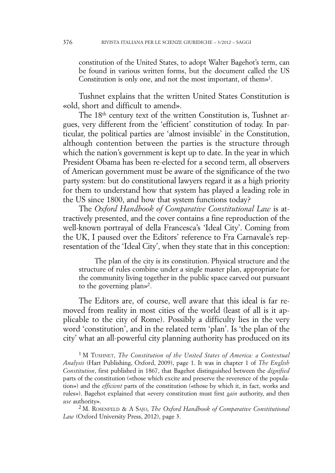constitution of the United States, to adopt Walter Bagehot's term, can be found in various written forms, but the document called the US Constitution is only one, and not the most important, of them»1.

Tushnet explains that the written United States Constitution is «old, short and difficult to amend».

The 18<sup>th</sup> century text of the written Constitution is, Tushnet argues, very different from the 'efficient' constitution of today. In particular, the political parties are 'almost invisible' in the Constitution, although contention between the parties is the structure through which the nation's government is kept up to date. In the year in which President Obama has been re-elected for a second term, all observers of American government must be aware of the significance of the two party system: but do constitutional lawyers regard it as a high priority for them to understand how that system has played a leading role in the US since 1800, and how that system functions today?

The *Oxford Handbook of Comparative Constitutional Law* is attractively presented, and the cover contains a fine reproduction of the well-known portrayal of della Francesca's 'Ideal City'. Coming from the UK, I paused over the Editors' reference to Fra Carnavale's representation of the 'Ideal City', when they state that in this conception:

The plan of the city is its constitution. Physical structure and the structure of rules combine under a single master plan, appropriate for the community living together in the public space carved out pursuant to the governing plan»2.

The Editors are, of course, well aware that this ideal is far removed from reality in most cities of the world (least of all is it applicable to the city of Rome). Possibly a difficulty lies in the very word 'constitution', and in the related term 'plan'. Is 'the plan of the city' what an all-powerful city planning authority has produced on its

<sup>1</sup> M TUSHNET, *The Constitution of the United States of America: a Contextual Analysis* (Hart Publishing, Oxford, 2009), page 1. It was in chapter 1 of *The English Constitution*, first published in 1867, that Bagehot distinguished between the *dignified* parts of the constitution («those which excite and preserve the reverence of the population») and the *efficient* parts of the constitution («those by which it, in fact, works and rules»). Bagehot explained that «every constitution must first *gain* authority, and then *use* authority».

<sup>2</sup> M. ROSENFELD & A SAJO, *The Oxford Handbook of Comparative Constitutional Law* (Oxford University Press, 2012), page 3.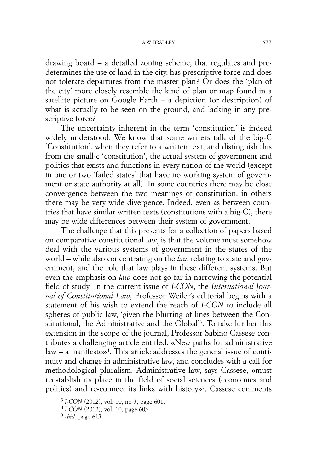drawing board – a detailed zoning scheme, that regulates and predetermines the use of land in the city, has prescriptive force and does not tolerate departures from the master plan? Or does the 'plan of the city' more closely resemble the kind of plan or map found in a satellite picture on Google Earth – a depiction (or description) of what is actually to be seen on the ground, and lacking in any prescriptive force?

The uncertainty inherent in the term 'constitution' is indeed widely understood. We know that some writers talk of the big-C 'Constitution', when they refer to a written text, and distinguish this from the small-c 'constitution', the actual system of government and politics that exists and functions in every nation of the world (except in one or two 'failed states' that have no working system of government or state authority at all). In some countries there may be close convergence between the two meanings of constitution, in others there may be very wide divergence. Indeed, even as between countries that have similar written texts (constitutions with a big-C), there may be wide differences between their system of government.

The challenge that this presents for a collection of papers based on comparative constitutional law, is that the volume must somehow deal with the various systems of government in the states of the world – while also concentrating on the *law* relating to state and government, and the role that law plays in these different systems. But even the emphasis on *law* does not go far in narrowing the potential field of study. In the current issue of *I-CON*, the *International Journal of Constitutional Law*, Professor Weiler's editorial begins with a statement of his wish to extend the reach of *I-CON* to include all spheres of public law, 'given the blurring of lines between the Constitutional, the Administrative and the Global'3. To take further this extension in the scope of the journal, Professor Sabino Cassese contributes a challenging article entitled, «New paths for administrative  $law - a$  manifesto»<sup>4</sup>. This article addresses the general issue of continuity and change in administrative law, and concludes with a call for methodological pluralism. Administrative law, says Cassese, «must reestablish its place in the field of social sciences (economics and politics) and re-connect its links with history $\delta$ . Cassese comments

<sup>3</sup> *I-CON* (2012), vol. 10, no 3, page 601.

<sup>4</sup> *I-CON* (2012), vol. 10, page 603.

<sup>5</sup> *Ibid*, page 613.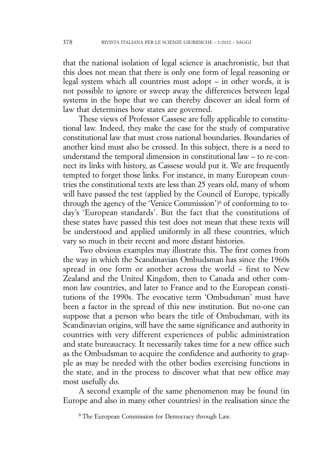that the national isolation of legal science is anachronistic, but that this does not mean that there is only one form of legal reasoning or legal system which all countries must adopt – in other words, it is not possible to ignore or sweep away the differences between legal systems in the hope that we can thereby discover an ideal form of law that determines how states are governed.

These views of Professor Cassese are fully applicable to constitutional law. Indeed, they make the case for the study of comparative constitutional law that must cross national boundaries. Boundaries of another kind must also be crossed. In this subject, there is a need to understand the temporal dimension in constitutional law – to re-connect its links with history, as Cassese would put it. We are frequently tempted to forget those links. For instance, in many European countries the constitutional texts are less than 25 years old, many of whom will have passed the test (applied by the Council of Europe, typically through the agency of the 'Venice Commission')<sup>6</sup> of conforming to today's 'European standards'. But the fact that the constitutions of these states have passed this test does not mean that these texts will be understood and applied uniformly in all these countries, which vary so much in their recent and more distant histories.

Two obvious examples may illustrate this. The first comes from the way in which the Scandinavian Ombudsman has since the 1960s spread in one form or another across the world – first to New Zealand and the United Kingdom, then to Canada and other common law countries, and later to France and to the European constitutions of the 1990s. The evocative term 'Ombudsman' must have been a factor in the spread of this new institution. But no-one can suppose that a person who bears the title of Ombudsman, with its Scandinavian origins, will have the same significance and authority in countries with very different experiences of public administration and state bureaucracy. It necessarily takes time for a new office such as the Ombudsman to acquire the confidence and authority to grapple as may be needed with the other bodies exercising functions in the state, and in the process to discover what that new office may most usefully do.

A second example of the same phenomenon may be found (in Europe and also in many other countries) in the realisation since the

<sup>6</sup> The European Commission for Democracy through Law.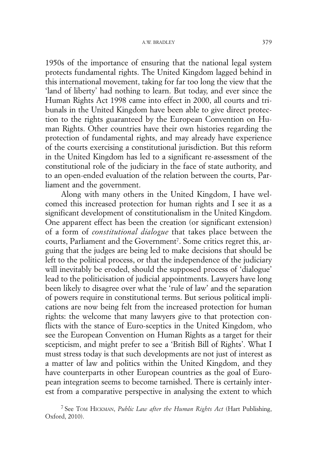1950s of the importance of ensuring that the national legal system protects fundamental rights. The United Kingdom lagged behind in this international movement, taking for far too long the view that the 'land of liberty' had nothing to learn. But today, and ever since the Human Rights Act 1998 came into effect in 2000, all courts and tribunals in the United Kingdom have been able to give direct protection to the rights guaranteed by the European Convention on Human Rights. Other countries have their own histories regarding the protection of fundamental rights, and may already have experience of the courts exercising a constitutional jurisdiction. But this reform in the United Kingdom has led to a significant re-assessment of the constitutional role of the judiciary in the face of state authority, and to an open-ended evaluation of the relation between the courts, Parliament and the government.

Along with many others in the United Kingdom, I have welcomed this increased protection for human rights and I see it as a significant development of constitutionalism in the United Kingdom. One apparent effect has been the creation (or significant extension) of a form of *constitutional dialogue* that takes place between the courts, Parliament and the Government<sup>7</sup>. Some critics regret this, arguing that the judges are being led to make decisions that should be left to the political process, or that the independence of the judiciary will inevitably be eroded, should the supposed process of 'dialogue' lead to the politicisation of judicial appointments. Lawyers have long been likely to disagree over what the 'rule of law' and the separation of powers require in constitutional terms. But serious political implications are now being felt from the increased protection for human rights: the welcome that many lawyers give to that protection conflicts with the stance of Euro-sceptics in the United Kingdom, who see the European Convention on Human Rights as a target for their scepticism, and might prefer to see a 'British Bill of Rights'. What I must stress today is that such developments are not just of interest as a matter of law and politics within the United Kingdom, and they have counterparts in other European countries as the goal of European integration seems to become tarnished. There is certainly interest from a comparative perspective in analysing the extent to which

<sup>7</sup> See TOM HICKMAN, *Public Law after the Human Rights Act* (Hart Publishing, Oxford, 2010).